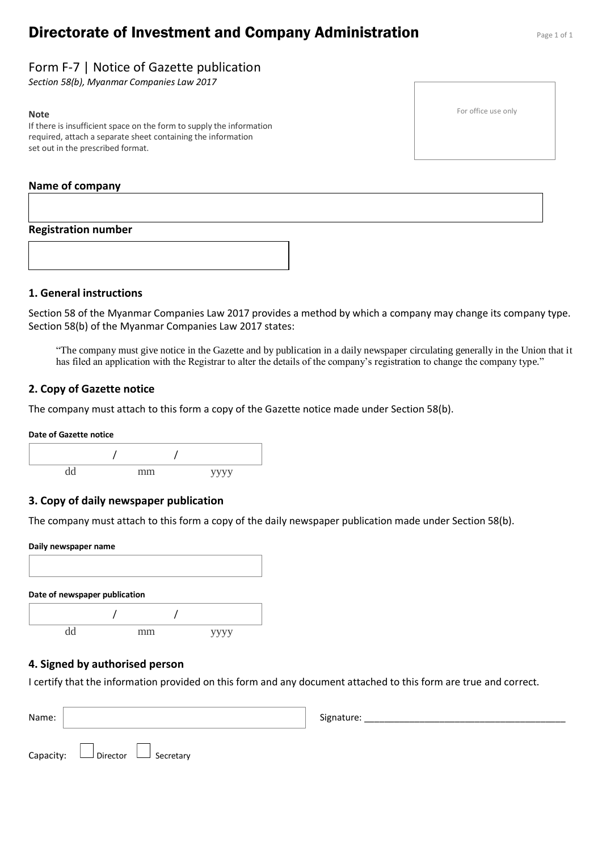# **Directorate of Investment and Company Administration** Page 1 of 1

# Form F-7 | Notice of Gazette publication

*Section 58(b), Myanmar Companies Law 2017*

#### **Note**

If there is insufficient space on the form to supply the information required, attach a separate sheet containing the information set out in the prescribed format.

## **Name of company**

# **Registration number**



# **1. General instructions**

Section 58 of the Myanmar Companies Law 2017 provides a method by which a company may change its company type. Section 58(b) of the Myanmar Companies Law 2017 states:

"The company must give notice in the Gazette and by publication in a daily newspaper circulating generally in the Union that it has filed an application with the Registrar to alter the details of the company's registration to change the company type."

# **2. Copy of Gazette notice**

The company must attach to this form a copy of the Gazette notice made under Section 58(b).

#### **Date of Gazette notice**



## **3. Copy of daily newspaper publication**

The company must attach to this form a copy of the daily newspaper publication made under Section 58(b).

# **Daily newspaper name**



# **4. Signed by authorised person**

I certify that the information provided on this form and any document attached to this form are true and correct.

| Name: |                                            | Signature: |
|-------|--------------------------------------------|------------|
|       | Capacity: $\Box$ Director $\Box$ Secretary |            |

For office use only